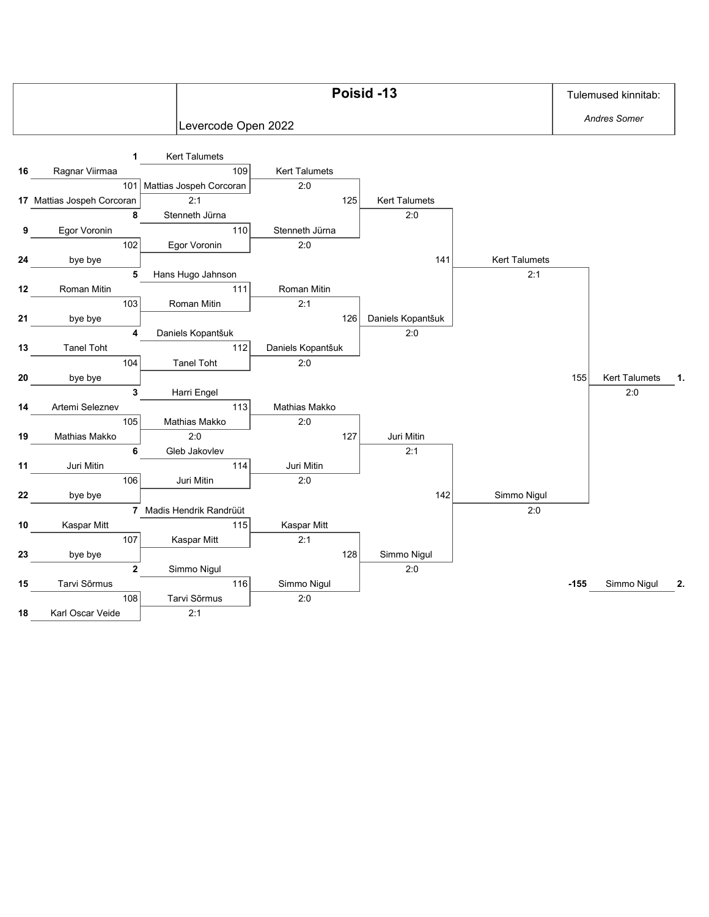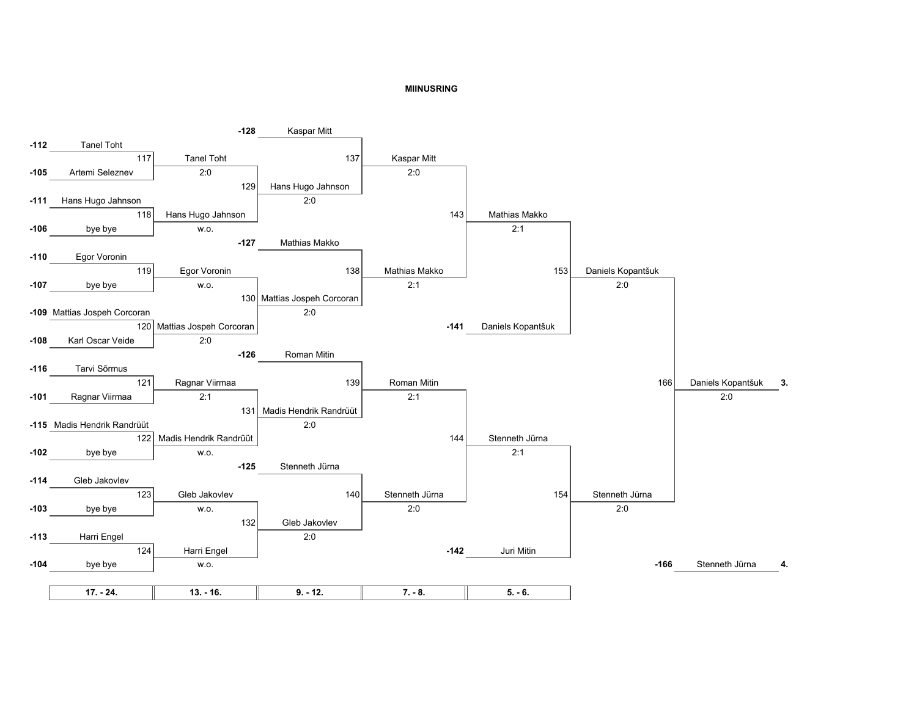## **MIINUSRING**

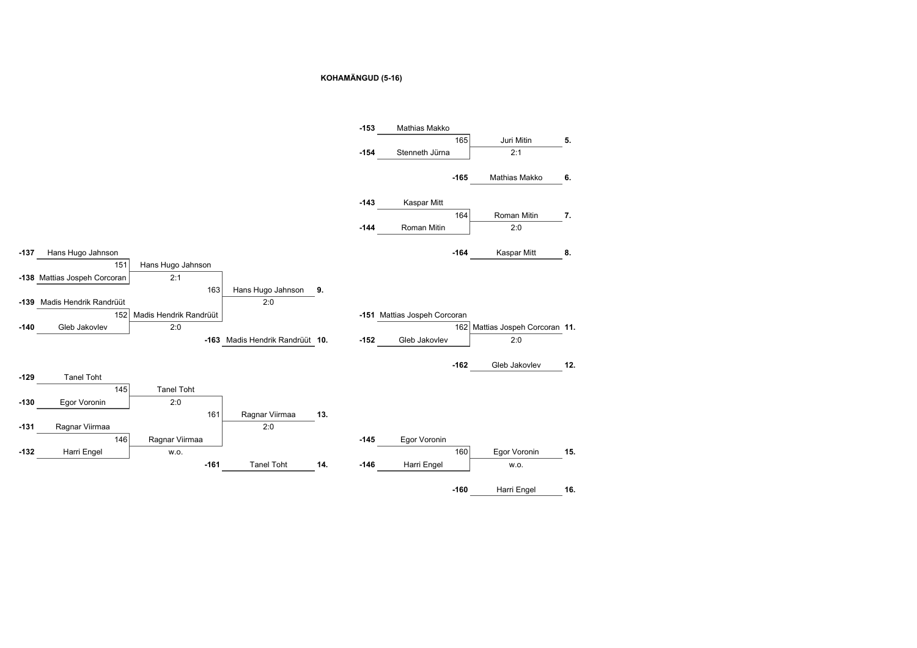## **KOHAMÄNGUD (5-16)**